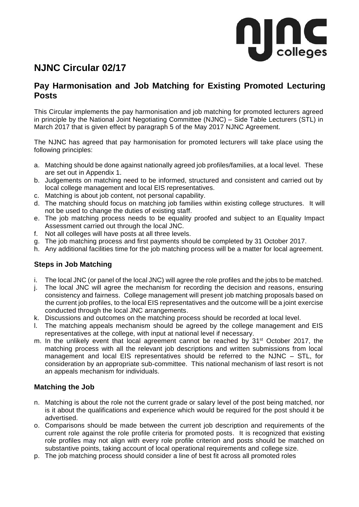

## **NJNC Circular 02/17**

## **Pay Harmonisation and Job Matching for Existing Promoted Lecturing Posts**

This Circular implements the pay harmonisation and job matching for promoted lecturers agreed in principle by the National Joint Negotiating Committee (NJNC) – Side Table Lecturers (STL) in March 2017 that is given effect by paragraph 5 of the May 2017 NJNC Agreement.

The NJNC has agreed that pay harmonisation for promoted lecturers will take place using the following principles:

- a. Matching should be done against nationally agreed job profiles/families, at a local level. These are set out in Appendix 1.
- b. Judgements on matching need to be informed, structured and consistent and carried out by local college management and local EIS representatives.
- c. Matching is about job content, not personal capability.
- d. The matching should focus on matching job families within existing college structures. It will not be used to change the duties of existing staff.
- e. The job matching process needs to be equality proofed and subject to an Equality Impact Assessment carried out through the local JNC.
- f. Not all colleges will have posts at all three levels.
- g. The job matching process and first payments should be completed by 31 October 2017.
- h. Any additional facilities time for the job matching process will be a matter for local agreement.

#### **Steps in Job Matching**

- i. The local JNC (or panel of the local JNC) will agree the role profiles and the jobs to be matched.
- j. The local JNC will agree the mechanism for recording the decision and reasons, ensuring consistency and fairness. College management will present job matching proposals based on the current job profiles, to the local EIS representatives and the outcome will be a joint exercise conducted through the local JNC arrangements.
- k. Discussions and outcomes on the matching process should be recorded at local level.
- l. The matching appeals mechanism should be agreed by the college management and EIS representatives at the college, with input at national level if necessary.
- m. In the unlikely event that local agreement cannot be reached by  $31<sup>st</sup>$  October 2017, the matching process with all the relevant job descriptions and written submissions from local management and local EIS representatives should be referred to the NJNC – STL, for consideration by an appropriate sub-committee. This national mechanism of last resort is not an appeals mechanism for individuals.

### **Matching the Job**

- n. Matching is about the role not the current grade or salary level of the post being matched, nor is it about the qualifications and experience which would be required for the post should it be advertised.
- o. Comparisons should be made between the current job description and requirements of the current role against the role profile criteria for promoted posts. It is recognized that existing role profiles may not align with every role profile criterion and posts should be matched on substantive points, taking account of local operational requirements and college size.
- p. The job matching process should consider a line of best fit across all promoted roles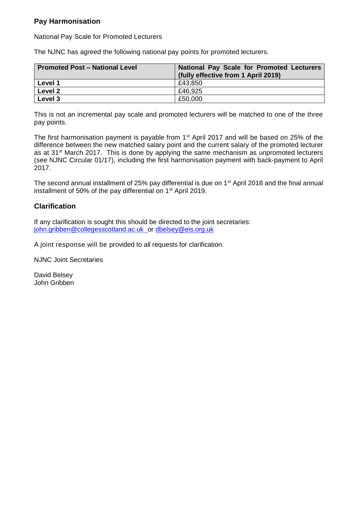### **Pay Harmonisation**

National Pay Scale for Promoted Lecturers

The NJNC has agreed the following national pay points for promoted lecturers.

| <b>Promoted Post - National Level</b> | National Pay Scale for Promoted Lecturers<br>(fully effective from 1 April 2019) |
|---------------------------------------|----------------------------------------------------------------------------------|
| Level 1                               | £43.850                                                                          |
| Level 2                               | £46.925                                                                          |
| Level 3                               | £50,000                                                                          |

This is not an incremental pay scale and promoted lecturers will be matched to one of the three pay points.

The first harmonisation payment is payable from 1<sup>st</sup> April 2017 and will be based on 25% of the difference between the new matched salary point and the current salary of the promoted lecturer as at 31<sup>st</sup> March 2017. This is done by applying the same mechanism as unpromoted lecturers (see NJNC Circular 01/17), including the first harmonisation payment with back-payment to April 2017.

The second annual installment of 25% pay differential is due on 1<sup>st</sup> April 2018 and the final annual installment of 50% of the pay differential on 1<sup>st</sup> April 2019.

### **Clarification**

If any clarification is sought this should be directed to the joint secretaries: [john.gribben@collegesscotland.ac.uk o](mailto:john.gribben@collegesscotland.ac.uk)r [dbelsey@eis.org.uk](mailto:dbelsey@eis.org.uk)

A joint response will be provided to all requests for clarification.

NJNC Joint Secretaries

David Belsey John Gribben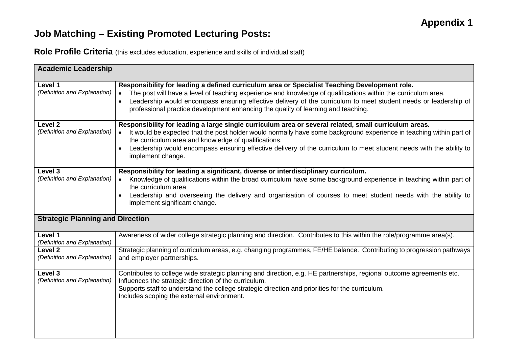# **Job Matching – Existing Promoted Lecturing Posts:**

**Role Profile Criteria** (this excludes education, experience and skills of individual staff)

| <b>Academic Leadership</b>                         |                                                                                                                                                                                                                                                                                                                                                                                                                                     |  |
|----------------------------------------------------|-------------------------------------------------------------------------------------------------------------------------------------------------------------------------------------------------------------------------------------------------------------------------------------------------------------------------------------------------------------------------------------------------------------------------------------|--|
| Level 1<br>(Definition and Explanation)            | Responsibility for leading a defined curriculum area or Specialist Teaching Development role.<br>The post will have a level of teaching experience and knowledge of qualifications within the curriculum area.<br>$\bullet$<br>Leadership would encompass ensuring effective delivery of the curriculum to meet student needs or leadership of<br>professional practice development enhancing the quality of learning and teaching. |  |
| Level <sub>2</sub><br>(Definition and Explanation) | Responsibility for leading a large single curriculum area or several related, small curriculum areas.<br>It would be expected that the post holder would normally have some background experience in teaching within part of<br>the curriculum area and knowledge of qualifications.<br>Leadership would encompass ensuring effective delivery of the curriculum to meet student needs with the ability to<br>implement change.     |  |
| Level 3<br>(Definition and Explanation)            | Responsibility for leading a significant, diverse or interdisciplinary curriculum.<br>Knowledge of qualifications within the broad curriculum have some background experience in teaching within part of<br>the curriculum area<br>Leadership and overseeing the delivery and organisation of courses to meet student needs with the ability to<br>implement significant change.                                                    |  |
| <b>Strategic Planning and Direction</b>            |                                                                                                                                                                                                                                                                                                                                                                                                                                     |  |
| Level 1<br>(Definition and Explanation)            | Awareness of wider college strategic planning and direction. Contributes to this within the role/programme area(s).                                                                                                                                                                                                                                                                                                                 |  |
| <b>Level 2</b><br>(Definition and Explanation)     | Strategic planning of curriculum areas, e.g. changing programmes, FE/HE balance. Contributing to progression pathways<br>and employer partnerships.                                                                                                                                                                                                                                                                                 |  |
| Level 3<br>(Definition and Explanation)            | Contributes to college wide strategic planning and direction, e.g. HE partnerships, regional outcome agreements etc.<br>Influences the strategic direction of the curriculum.<br>Supports staff to understand the college strategic direction and priorities for the curriculum.<br>Includes scoping the external environment.                                                                                                      |  |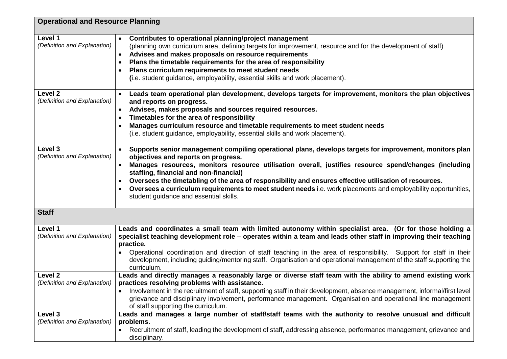| <b>Operational and Resource Planning</b> |                                                                                                                                                                                                                                                                                                                                                                                                                                                                                                                                                                         |
|------------------------------------------|-------------------------------------------------------------------------------------------------------------------------------------------------------------------------------------------------------------------------------------------------------------------------------------------------------------------------------------------------------------------------------------------------------------------------------------------------------------------------------------------------------------------------------------------------------------------------|
| Level 1<br>(Definition and Explanation)  | Contributes to operational planning/project management<br>$\bullet$<br>(planning own curriculum area, defining targets for improvement, resource and for the development of staff)<br>Advises and makes proposals on resource requirements<br>$\bullet$<br>Plans the timetable requirements for the area of responsibility<br>Plans curriculum requirements to meet student needs<br>(i.e. student guidance, employability, essential skills and work placement).                                                                                                       |
| Level 2<br>(Definition and Explanation)  | Leads team operational plan development, develops targets for improvement, monitors the plan objectives<br>and reports on progress.<br>Advises, makes proposals and sources required resources.<br>Timetables for the area of responsibility<br>$\bullet$<br>Manages curriculum resource and timetable requirements to meet student needs<br>(i.e. student guidance, employability, essential skills and work placement).                                                                                                                                               |
| Level 3<br>(Definition and Explanation)  | Supports senior management compiling operational plans, develops targets for improvement, monitors plan<br>objectives and reports on progress.<br>Manages resources, monitors resource utilisation overall, justifies resource spend/changes (including<br>staffing, financial and non-financial)<br>Oversees the timetabling of the area of responsibility and ensures effective utilisation of resources.<br>Oversees a curriculum requirements to meet student needs i.e. work placements and employability opportunities,<br>student guidance and essential skills. |
| <b>Staff</b>                             |                                                                                                                                                                                                                                                                                                                                                                                                                                                                                                                                                                         |
| Level 1<br>(Definition and Explanation)  | Leads and coordinates a small team with limited autonomy within specialist area. (Or for those holding a<br>specialist teaching development role - operates within a team and leads other staff in improving their teaching<br>practice.<br>Operational coordination and direction of staff teaching in the area of responsibility. Support for staff in their<br>development, including guiding/mentoring staff. Organisation and operational management of the staff supporting the<br>curriculum.                                                                    |
| Level 2<br>(Definition and Explanation)  | Leads and directly manages a reasonably large or diverse staff team with the ability to amend existing work<br>practices resolving problems with assistance.<br>Involvement in the recruitment of staff, supporting staff in their development, absence management, informal/first level<br>grievance and disciplinary involvement, performance management. Organisation and operational line management<br>of staff supporting the curriculum.                                                                                                                         |
| Level 3<br>(Definition and Explanation)  | Leads and manages a large number of staff/staff teams with the authority to resolve unusual and difficult<br>problems.<br>Recruitment of staff, leading the development of staff, addressing absence, performance management, grievance and<br>disciplinary.                                                                                                                                                                                                                                                                                                            |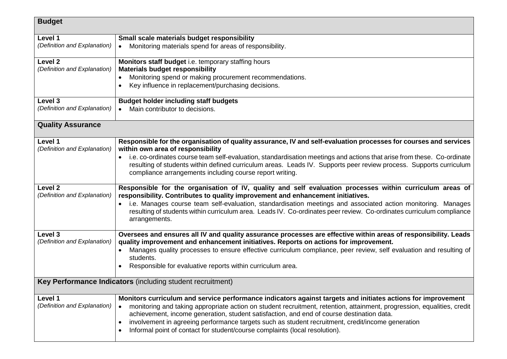| <b>Budget</b>                                              |                                                                                                                         |  |
|------------------------------------------------------------|-------------------------------------------------------------------------------------------------------------------------|--|
| Level 1                                                    | Small scale materials budget responsibility                                                                             |  |
| (Definition and Explanation)                               | Monitoring materials spend for areas of responsibility.                                                                 |  |
| Level 2                                                    | Monitors staff budget i.e. temporary staffing hours                                                                     |  |
| (Definition and Explanation)                               | <b>Materials budget responsibility</b>                                                                                  |  |
|                                                            | Monitoring spend or making procurement recommendations.                                                                 |  |
|                                                            | Key influence in replacement/purchasing decisions.                                                                      |  |
| Level 3                                                    | <b>Budget holder including staff budgets</b>                                                                            |  |
| (Definition and Explanation)                               | Main contributor to decisions.<br>$\bullet$                                                                             |  |
| <b>Quality Assurance</b>                                   |                                                                                                                         |  |
| Level 1                                                    | Responsible for the organisation of quality assurance, IV and self-evaluation processes for courses and services        |  |
| (Definition and Explanation)                               | within own area of responsibility                                                                                       |  |
|                                                            | i.e. co-ordinates course team self-evaluation, standardisation meetings and actions that arise from these. Co-ordinate  |  |
|                                                            | resulting of students within defined curriculum areas. Leads IV. Supports peer review process. Supports curriculum      |  |
|                                                            | compliance arrangements including course report writing.                                                                |  |
| Level 2                                                    | Responsible for the organisation of IV, quality and self evaluation processes within curriculum areas of                |  |
| (Definition and Explanation)                               | responsibility. Contributes to quality improvement and enhancement initiatives.                                         |  |
|                                                            | i.e. Manages course team self-evaluation, standardisation meetings and associated action monitoring. Manages            |  |
|                                                            | resulting of students within curriculum area. Leads IV. Co-ordinates peer review. Co-ordinates curriculum compliance    |  |
|                                                            | arrangements.                                                                                                           |  |
| Level 3                                                    | Oversees and ensures all IV and quality assurance processes are effective within areas of responsibility. Leads         |  |
| (Definition and Explanation)                               | quality improvement and enhancement initiatives. Reports on actions for improvement.                                    |  |
|                                                            | Manages quality processes to ensure effective curriculum compliance, peer review, self evaluation and resulting of      |  |
|                                                            | students.                                                                                                               |  |
|                                                            | Responsible for evaluative reports within curriculum area.                                                              |  |
| Key Performance Indicators (including student recruitment) |                                                                                                                         |  |
| Level 1                                                    | Monitors curriculum and service performance indicators against targets and initiates actions for improvement            |  |
| (Definition and Explanation)                               | monitoring and taking appropriate action on student recruitment, retention, attainment, progression, equalities, credit |  |
|                                                            | achievement, income generation, student satisfaction, and end of course destination data.                               |  |
|                                                            | involvement in agreeing performance targets such as student recruitment, credit/income generation<br>$\bullet$          |  |
|                                                            | Informal point of contact for student/course complaints (local resolution).                                             |  |
|                                                            |                                                                                                                         |  |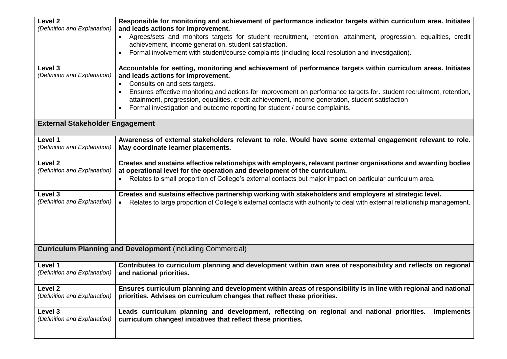| Level 2<br>(Definition and Explanation)                           | Responsible for monitoring and achievement of performance indicator targets within curriculum area. Initiates<br>and leads actions for improvement.                                                                                                                                                                                                                                                                                                                                                          |  |
|-------------------------------------------------------------------|--------------------------------------------------------------------------------------------------------------------------------------------------------------------------------------------------------------------------------------------------------------------------------------------------------------------------------------------------------------------------------------------------------------------------------------------------------------------------------------------------------------|--|
|                                                                   | Agrees/sets and monitors targets for student recruitment, retention, attainment, progression, equalities, credit<br>achievement, income generation, student satisfaction.                                                                                                                                                                                                                                                                                                                                    |  |
|                                                                   | Formal involvement with student/course complaints (including local resolution and investigation).                                                                                                                                                                                                                                                                                                                                                                                                            |  |
| Level 3<br>(Definition and Explanation)                           | Accountable for setting, monitoring and achievement of performance targets within curriculum areas. Initiates<br>and leads actions for improvement.<br>Consults on and sets targets.<br>Ensures effective monitoring and actions for improvement on performance targets for. student recruitment, retention,<br>attainment, progression, equalities, credit achievement, income generation, student satisfaction<br>Formal investigation and outcome reporting for student / course complaints.<br>$\bullet$ |  |
| <b>External Stakeholder Engagement</b>                            |                                                                                                                                                                                                                                                                                                                                                                                                                                                                                                              |  |
| Level 1                                                           | Awareness of external stakeholders relevant to role. Would have some external engagement relevant to role.                                                                                                                                                                                                                                                                                                                                                                                                   |  |
| (Definition and Explanation)                                      | May coordinate learner placements.                                                                                                                                                                                                                                                                                                                                                                                                                                                                           |  |
| Level <sub>2</sub>                                                | Creates and sustains effective relationships with employers, relevant partner organisations and awarding bodies                                                                                                                                                                                                                                                                                                                                                                                              |  |
| (Definition and Explanation)                                      | at operational level for the operation and development of the curriculum.                                                                                                                                                                                                                                                                                                                                                                                                                                    |  |
|                                                                   | Relates to small proportion of College's external contacts but major impact on particular curriculum area.                                                                                                                                                                                                                                                                                                                                                                                                   |  |
| Level 3                                                           | Creates and sustains effective partnership working with stakeholders and employers at strategic level.                                                                                                                                                                                                                                                                                                                                                                                                       |  |
| (Definition and Explanation)                                      | Relates to large proportion of College's external contacts with authority to deal with external relationship management.<br>$\bullet$                                                                                                                                                                                                                                                                                                                                                                        |  |
| <b>Curriculum Planning and Development (including Commercial)</b> |                                                                                                                                                                                                                                                                                                                                                                                                                                                                                                              |  |
| Level 1                                                           | Contributes to curriculum planning and development within own area of responsibility and reflects on regional                                                                                                                                                                                                                                                                                                                                                                                                |  |
| (Definition and Explanation)                                      | and national priorities.                                                                                                                                                                                                                                                                                                                                                                                                                                                                                     |  |
| Level <sub>2</sub><br>(Definition and Explanation)                | Ensures curriculum planning and development within areas of responsibility is in line with regional and national<br>priorities. Advises on curriculum changes that reflect these priorities.                                                                                                                                                                                                                                                                                                                 |  |
| Level 3<br>(Definition and Explanation)                           | Leads curriculum planning and development, reflecting on regional and national priorities.<br><b>Implements</b><br>curriculum changes/ initiatives that reflect these priorities.                                                                                                                                                                                                                                                                                                                            |  |
|                                                                   |                                                                                                                                                                                                                                                                                                                                                                                                                                                                                                              |  |